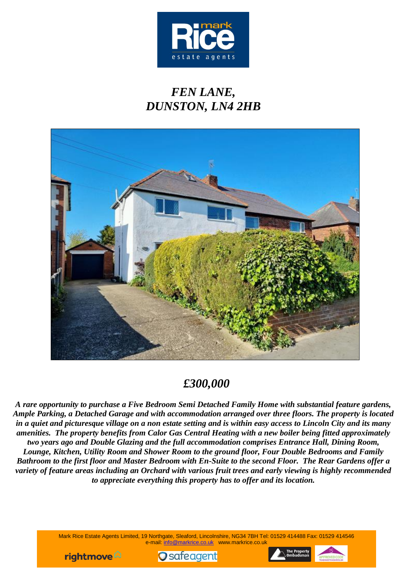

# *FEN LANE, DUNSTON, LN4 2HB*



## *£300,000*

*A rare opportunity to purchase a Five Bedroom Semi Detached Family Home with substantial feature gardens, Ample Parking, a Detached Garage and with accommodation arranged over three floors. The property is located in a quiet and picturesque village on a non estate setting and is within easy access to Lincoln City and its many amenities. The property benefits from Calor Gas Central Heating with a new boiler being fitted approximately two years ago and Double Glazing and the full accommodation comprises Entrance Hall, Dining Room, Lounge, Kitchen, Utility Room and Shower Room to the ground floor, Four Double Bedrooms and Family Bathroom to the first floor and Master Bedroom with En-Suite to the second Floor. The Rear Gardens offer a variety of feature areas including an Orchard with various fruit trees and early viewing is highly recommended to appreciate everything this property has to offer and its location.*

> Mark Rice Estate Agents Limited, 19 Northgate, Sleaford, Lincolnshire, NG34 7BH Tel: 01529 414488 Fax: 01529 414546 e-mail: info@markrice.co.uk www.markrice.co.uk





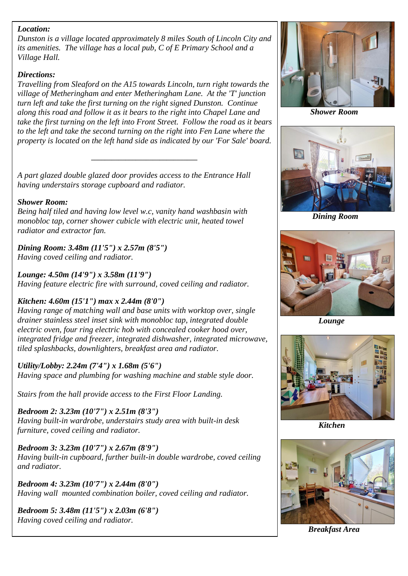## *Location:*

*Dunston is a village located approximately 8 miles South of Lincoln City and its amenities. The village has a local pub, C of E Primary School and a Village Hall.*

## *Directions:*

*Travelling from Sleaford on the A15 towards Lincoln, turn right towards the village of Metheringham and enter Metheringham Lane. At the 'T' junction turn left and take the first turning on the right signed Dunston. Continue along this road and follow it as it bears to the right into Chapel Lane and take the first turning on the left into Front Street. Follow the road as it bears to the left and take the second turning on the right into Fen Lane where the property is located on the left hand side as indicated by our 'For Sale' board.*

*\_\_\_\_\_\_\_\_\_\_\_\_\_\_\_\_\_\_\_\_\_\_\_\_\_\_\_\_\_\_\_*

*A part glazed double glazed door provides access to the Entrance Hall having understairs storage cupboard and radiator.*

## *Shower Room:*

*Being half tiled and having low level w.c, vanity hand washbasin with monobloc tap, corner shower cubicle with electric unit, heated towel radiator and extractor fan.*

*Dining Room: 3.48m (11'5") x 2.57m (8'5") Having coved ceiling and radiator.*

*Lounge: 4.50m (14'9") x 3.58m (11'9") Having feature electric fire with surround, coved ceiling and radiator.*

## *Kitchen: 4.60m (15'1") max x 2.44m (8'0")*

*drainer stainless steel inset sink with monobloc tap, integrated double lack Lounge Having range of matching wall and base units with worktop over, single electric oven, four ring electric hob with concealed cooker hood over, integrated fridge and freezer, integrated dishwasher, integrated microwave, tiled splashbacks, downlighters, breakfast area and radiator.*

*Utility/Lobby: 2.24m (7'4") x 1.68m (5'6") Having space and plumbing for washing machine and stable style door.*

*Stairs from the hall provide access to the First Floor Landing.*

*Bedroom 2: 3.23m (10'7") x 2.51m (8'3") Having built-in wardrobe, understairs study area with built-in desk furniture, coved ceiling and radiator.*

*Bedroom 3: 3.23m (10'7") x 2.67m (8'9") Having built-in cupboard, further built-in double wardrobe, coved ceiling and radiator.*

*Bedroom 4: 3.23m (10'7") x 2.44m (8'0") Having wall mounted combination boiler, coved ceiling and radiator.*

*Bedroom 5: 3.48m (11'5") x 2.03m (6'8") Having coved ceiling and radiator.*



 *Shower Room*



 *Dining Room*





 *Kitchen*



*Breakfast Area*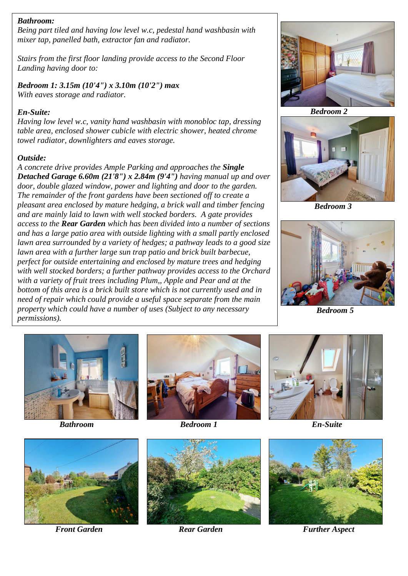### *Bathroom:*

*Being part tiled and having low level w.c, pedestal hand washbasin with mixer tap, panelled bath, extractor fan and radiator.*

*Stairs from the first floor landing provide access to the Second Floor Landing having door to:*

*Bedroom 1: 3.15m (10'4") x 3.10m (10'2") max With eaves storage and radiator.*

#### *En-Suite:*

*Having low level w.c, vanity hand washbasin with monobloc tap, dressing table area, enclosed shower cubicle with electric shower, heated chrome towel radiator, downlighters and eaves storage.*

#### *Outside:*

*property which could have a number of uses (Subject to any necessary <b>Bedroom 5 Bedroom 5 A concrete drive provides Ample Parking and approaches the Single Detached Garage 6.60m (21'8") x 2.84m (9'4") having manual up and over door, double glazed window, power and lighting and door to the garden. The remainder of the front gardens have been sectioned off to create a pleasant area enclosed by mature hedging, a brick wall and timber fencing and are mainly laid to lawn with well stocked borders. A gate provides access to the Rear Garden which has been divided into a number of sections and has a large patio area with outside lighting with a small partly enclosed lawn area surrounded by a variety of hedges; a pathway leads to a good size lawn area with a further large sun trap patio and brick built barbecue, perfect for outside entertaining and enclosed by mature trees and hedging with well stocked borders; a further pathway provides access to the Orchard with a variety of fruit trees including Plum,, Apple and Pear and at the bottom of this area is a brick built store which is not currently used and in need of repair which could provide a useful space separate from the main permissions).*







 *Bedroom 3*







 *Bathroom Bedroom 1 En-Suite* 





*Front Garden Rear Garden Further Aspect*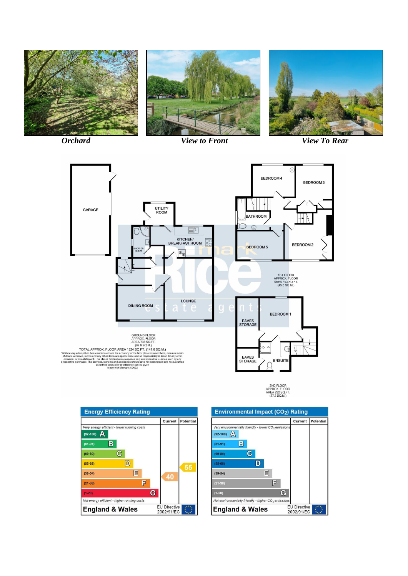



2ND FLOOR<br>APPROX. FLOOR<br>AREA 292 SQ.FT.<br>(27.2 SQ.M.)